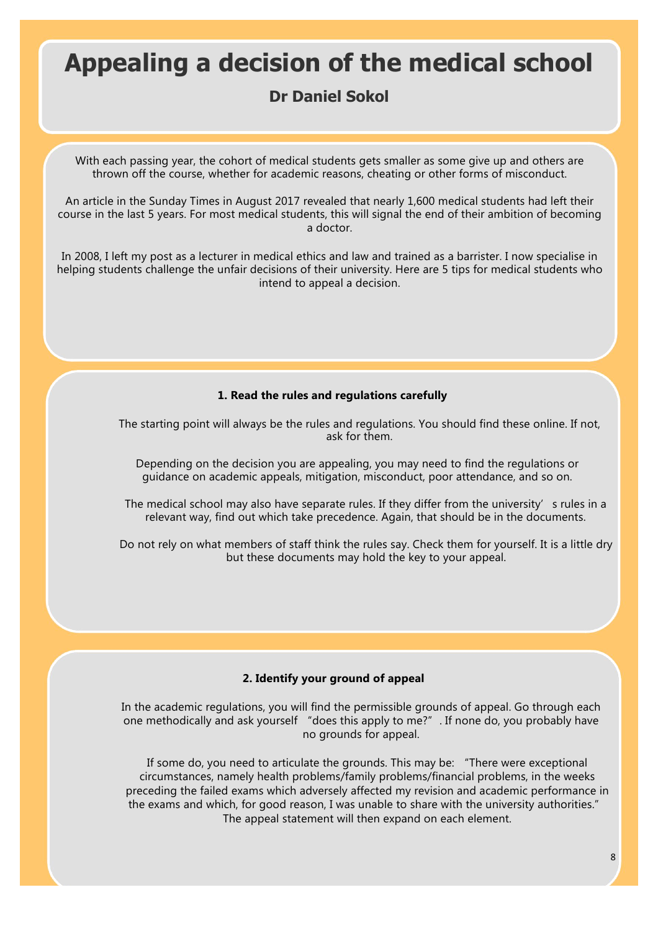# Appealing a decision of the medical school

# **Dr Daniel Sokol**

With each passing year, the cohort of medical students gets smaller as some give up and others are thrown off the course, whether for academic reasons, cheating or other forms of misconduct.

An article in the Sunday Times in August 2017 revealed that nearly 1,600 medical students had left their course in the last 5 years. For most medical students, this will signal the end of their ambition of becoming a doctor.

In 2008, I left my post as a lecturer in medical ethics and law and trained as a barrister. I now specialise in helping students challenge the unfair decisions of their university. Here are 5 tips for medical students who intend to appeal a decision.

### **1. Read the rules and regulations carefully**

The starting point will always be the rules and regulations. You should find these online. If not, ask for them.

Depending on the decision you are appealing, you may need to find the regulations or guidance on academic appeals, mitigation, misconduct, poor attendance, and so on.

The medical school may also have separate rules. If they differ from the university's rules in a relevant way, find out which take precedence. Again, that should be in the documents.

Do not rely on what members of staff think the rules say. Check them for yourself. It is a little dry but these documents may hold the key to your appeal.

## **2. Identify your ground of appeal**

In the academic regulations, you will find the permissible grounds of appeal. Go through each one methodically and ask yourself "does this apply to me?". If none do, you probably have no grounds for appeal.

If some do, you need to articulate the grounds. This may be: "There were exceptional circumstances, namely health problems/family problems/financial problems, in the weeks preceding the failed exams which adversely affected my revision and academic performance in the exams and which, for good reason, I was unable to share with the university authorities." The appeal statement will then expand on each element.